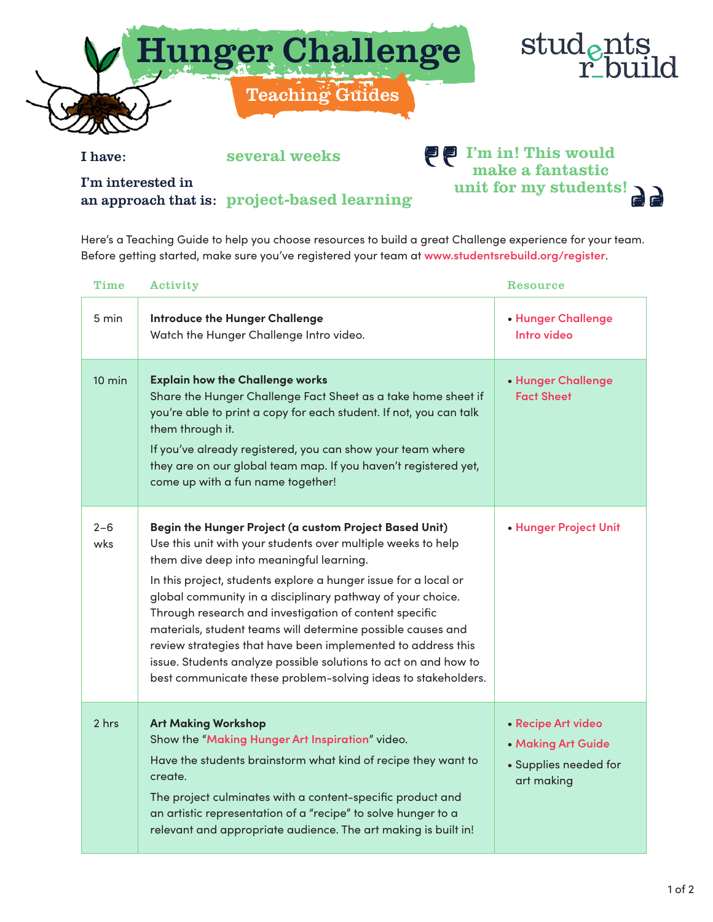

I have: several weeks

I'm interested in an approach that is: project-based learning

## **PP** I'm in! This would make a fantastic unit for my students!

Here's a Teaching Guide to help you choose resources to build a great Challenge experience for your team. Before getting started, make sure you've registered your team at **www.studentsrebuild.org/register**.

| <b>Time</b>      | Activity                                                                                                                                                                                                                                                                                                                                                                                                                                                                                                                                                                                                                         | Resource                                                                        |
|------------------|----------------------------------------------------------------------------------------------------------------------------------------------------------------------------------------------------------------------------------------------------------------------------------------------------------------------------------------------------------------------------------------------------------------------------------------------------------------------------------------------------------------------------------------------------------------------------------------------------------------------------------|---------------------------------------------------------------------------------|
| 5 min            | <b>Introduce the Hunger Challenge</b><br>Watch the Hunger Challenge Intro video.                                                                                                                                                                                                                                                                                                                                                                                                                                                                                                                                                 | • Hunger Challenge<br>Intro video                                               |
| $10 \text{ min}$ | <b>Explain how the Challenge works</b><br>Share the Hunger Challenge Fact Sheet as a take home sheet if<br>you're able to print a copy for each student. If not, you can talk<br>them through it.<br>If you've already registered, you can show your team where<br>they are on our global team map. If you haven't registered yet,<br>come up with a fun name together!                                                                                                                                                                                                                                                          | • Hunger Challenge<br><b>Fact Sheet</b>                                         |
| $2 - 6$<br>wks   | Begin the Hunger Project (a custom Project Based Unit)<br>Use this unit with your students over multiple weeks to help<br>them dive deep into meaningful learning.<br>In this project, students explore a hunger issue for a local or<br>global community in a disciplinary pathway of your choice.<br>Through research and investigation of content specific<br>materials, student teams will determine possible causes and<br>review strategies that have been implemented to address this<br>issue. Students analyze possible solutions to act on and how to<br>best communicate these problem-solving ideas to stakeholders. | • Hunger Project Unit                                                           |
| 2 hrs            | <b>Art Making Workshop</b><br>Show the "Making Hunger Art Inspiration" video.<br>Have the students brainstorm what kind of recipe they want to<br>create.<br>The project culminates with a content-specific product and<br>an artistic representation of a "recipe" to solve hunger to a<br>relevant and appropriate audience. The art making is built in!                                                                                                                                                                                                                                                                       | • Recipe Art video<br>• Making Art Guide<br>• Supplies needed for<br>art making |